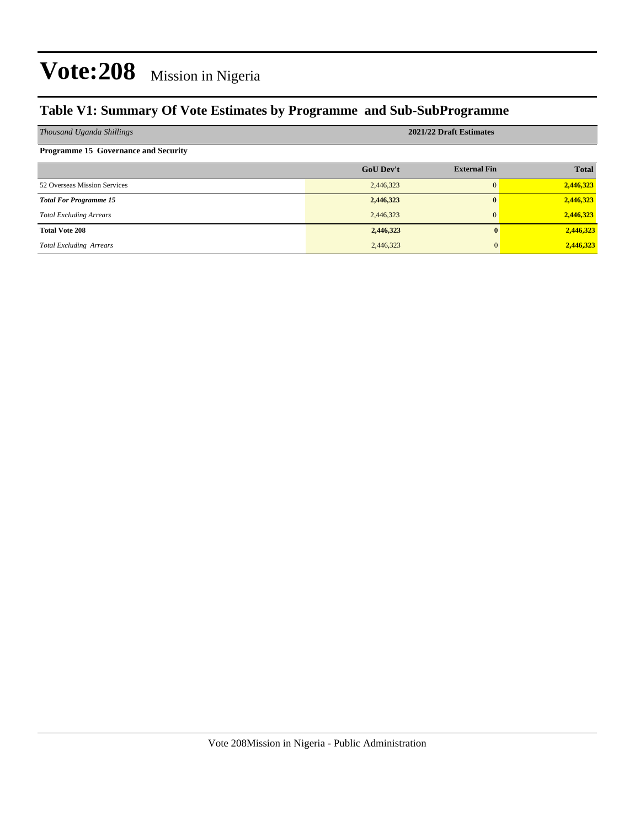#### **Table V1: Summary Of Vote Estimates by Programme and Sub-SubProgramme**

| Thousand Uganda Shillings                   | 2021/22 Draft Estimates |                     |              |  |  |
|---------------------------------------------|-------------------------|---------------------|--------------|--|--|
| <b>Programme 15 Governance and Security</b> |                         |                     |              |  |  |
|                                             | <b>GoU Dev't</b>        | <b>External Fin</b> | <b>Total</b> |  |  |
| 52 Overseas Mission Services                | 2,446,323               | $\Omega$            | 2,446,323    |  |  |
| <b>Total For Programme 15</b>               | 2,446,323               | $\mathbf{0}$        | 2,446,323    |  |  |
| <b>Total Excluding Arrears</b>              | 2,446,323               | $\Omega$            | 2,446,323    |  |  |
| <b>Total Vote 208</b>                       | 2,446,323               |                     | 2,446,323    |  |  |
| <b>Total Excluding Arrears</b>              | 2,446,323               |                     | 2,446,323    |  |  |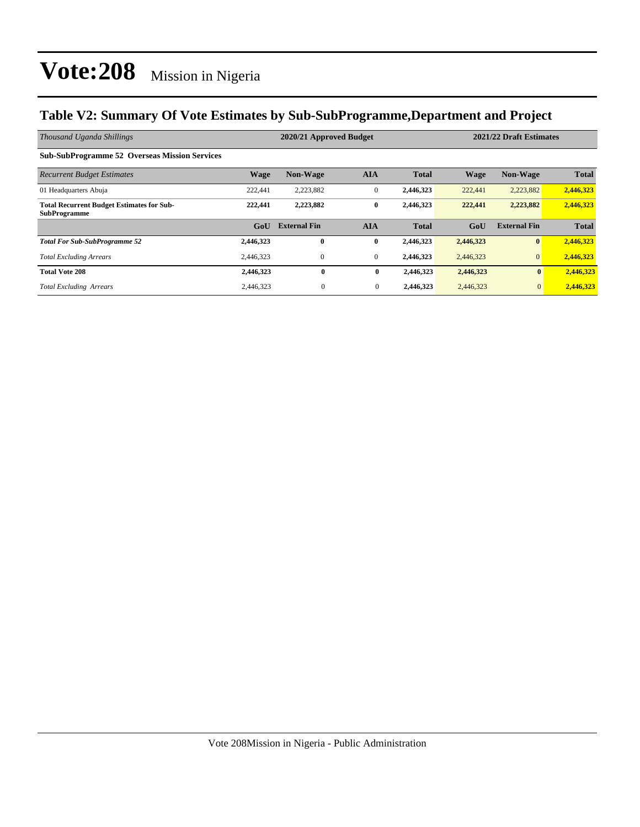#### **Table V2: Summary Of Vote Estimates by Sub-SubProgramme,Department and Project**

| Thousand Uganda Shillings                                               |                  | 2020/21 Approved Budget |              |              |             | 2021/22 Draft Estimates |              |  |
|-------------------------------------------------------------------------|------------------|-------------------------|--------------|--------------|-------------|-------------------------|--------------|--|
| <b>Sub-SubProgramme 52 Overseas Mission Services</b>                    |                  |                         |              |              |             |                         |              |  |
| <b>Recurrent Budget Estimates</b>                                       | <b>Wage</b>      | <b>Non-Wage</b>         | <b>AIA</b>   | <b>Total</b> | <b>Wage</b> | <b>Non-Wage</b>         | <b>Total</b> |  |
| 01 Headquarters Abuja                                                   | 222,441          | 2,223,882               | $\mathbf{0}$ | 2,446,323    | 222,441     | 2,223,882               | 2,446,323    |  |
| <b>Total Recurrent Budget Estimates for Sub-</b><br><b>SubProgramme</b> | 222,441          | 2,223,882               | $\bf{0}$     | 2,446,323    | 222,441     | 2,223,882               | 2,446,323    |  |
|                                                                         | G <sub>o</sub> U | <b>External Fin</b>     | <b>AIA</b>   | <b>Total</b> | GoU         | <b>External Fin</b>     | <b>Total</b> |  |
| <b>Total For Sub-SubProgramme 52</b>                                    | 2,446,323        | $\mathbf{0}$            | $\bf{0}$     | 2,446,323    | 2,446,323   | $\bf{0}$                | 2,446,323    |  |
| <b>Total Excluding Arrears</b>                                          | 2,446,323        | 0                       | $\theta$     | 2,446,323    | 2,446,323   | $\mathbf{0}$            | 2,446,323    |  |
| <b>Total Vote 208</b>                                                   | 2,446,323        | $\bf{0}$                | $\bf{0}$     | 2,446,323    | 2,446,323   | $\bf{0}$                | 2,446,323    |  |
| <b>Total Excluding Arrears</b>                                          | 2,446,323        | $\mathbf{0}$            | $\mathbf{0}$ | 2,446,323    | 2,446,323   | $\mathbf{0}$            | 2,446,323    |  |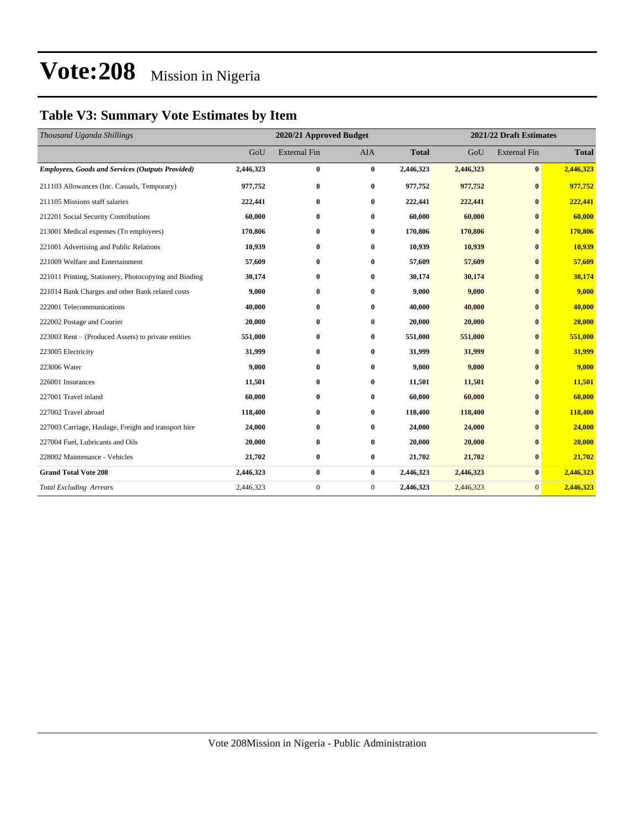### **Table V3: Summary Vote Estimates by Item**

| Thousand Uganda Shillings                               | 2020/21 Approved Budget |                     |              |              | 2021/22 Draft Estimates |                     |              |
|---------------------------------------------------------|-------------------------|---------------------|--------------|--------------|-------------------------|---------------------|--------------|
|                                                         | GoU                     | <b>External Fin</b> | <b>AIA</b>   | <b>Total</b> | GoU                     | <b>External Fin</b> | <b>Total</b> |
| <b>Employees, Goods and Services (Outputs Provided)</b> | 2,446,323               | $\bf{0}$            | $\bf{0}$     | 2,446,323    | 2,446,323               | $\bf{0}$            | 2,446,323    |
| 211103 Allowances (Inc. Casuals, Temporary)             | 977,752                 | $\bf{0}$            | $\bf{0}$     | 977,752      | 977,752                 | $\bf{0}$            | 977,752      |
| 211105 Missions staff salaries                          | 222,441                 | $\bf{0}$            | $\bf{0}$     | 222,441      | 222,441                 | $\mathbf{0}$        | 222,441      |
| 212201 Social Security Contributions                    | 60,000                  | $\bf{0}$            | $\bf{0}$     | 60,000       | 60,000                  | $\bf{0}$            | 60,000       |
| 213001 Medical expenses (To employees)                  | 170,806                 | $\bf{0}$            | $\bf{0}$     | 170,806      | 170,806                 | $\mathbf{0}$        | 170,806      |
| 221001 Advertising and Public Relations                 | 10,939                  | $\bf{0}$            | $\bf{0}$     | 10,939       | 10,939                  | $\mathbf{0}$        | 10,939       |
| 221009 Welfare and Entertainment                        | 57,609                  | $\bf{0}$            | $\bf{0}$     | 57,609       | 57,609                  | $\mathbf{0}$        | 57,609       |
| 221011 Printing, Stationery, Photocopying and Binding   | 30,174                  | $\bf{0}$            | $\bf{0}$     | 30,174       | 30,174                  | $\bf{0}$            | 30,174       |
| 221014 Bank Charges and other Bank related costs        | 9,000                   | $\bf{0}$            | $\bf{0}$     | 9,000        | 9,000                   | $\mathbf{0}$        | 9,000        |
| 222001 Telecommunications                               | 40.000                  | $\bf{0}$            | $\bf{0}$     | 40,000       | 40,000                  | $\bf{0}$            | 40,000       |
| 222002 Postage and Courier                              | 20,000                  | $\bf{0}$            | $\bf{0}$     | 20,000       | 20,000                  | $\mathbf{0}$        | 20,000       |
| 223003 Rent – (Produced Assets) to private entities     | 551,000                 | $\bf{0}$            | $\bf{0}$     | 551,000      | 551,000                 | $\bf{0}$            | 551,000      |
| 223005 Electricity                                      | 31,999                  | $\bf{0}$            | $\bf{0}$     | 31,999       | 31,999                  | $\bf{0}$            | 31,999       |
| 223006 Water                                            | 9,000                   | $\bf{0}$            | $\bf{0}$     | 9,000        | 9,000                   | $\bf{0}$            | 9,000        |
| 226001 Insurances                                       | 11,501                  | $\bf{0}$            | $\bf{0}$     | 11,501       | 11,501                  | $\mathbf{0}$        | 11,501       |
| 227001 Travel inland                                    | 60,000                  | $\bf{0}$            | $\bf{0}$     | 60,000       | 60,000                  | $\mathbf{0}$        | 60,000       |
| 227002 Travel abroad                                    | 118,400                 | $\bf{0}$            | $\bf{0}$     | 118,400      | 118,400                 | $\mathbf{0}$        | 118,400      |
| 227003 Carriage, Haulage, Freight and transport hire    | 24,000                  | $\bf{0}$            | $\bf{0}$     | 24,000       | 24,000                  | $\bf{0}$            | 24,000       |
| 227004 Fuel, Lubricants and Oils                        | 20,000                  | $\bf{0}$            | $\bf{0}$     | 20,000       | 20,000                  | $\bf{0}$            | 20,000       |
| 228002 Maintenance - Vehicles                           | 21,702                  | $\bf{0}$            | $\bf{0}$     | 21,702       | 21,702                  | $\bf{0}$            | 21,702       |
| <b>Grand Total Vote 208</b>                             | 2,446,323               | $\bf{0}$            | $\bf{0}$     | 2,446,323    | 2,446,323               | $\bf{0}$            | 2,446,323    |
| <b>Total Excluding Arrears</b>                          | 2,446,323               | $\boldsymbol{0}$    | $\mathbf{0}$ | 2,446,323    | 2,446,323               | $\mathbf{0}$        | 2,446,323    |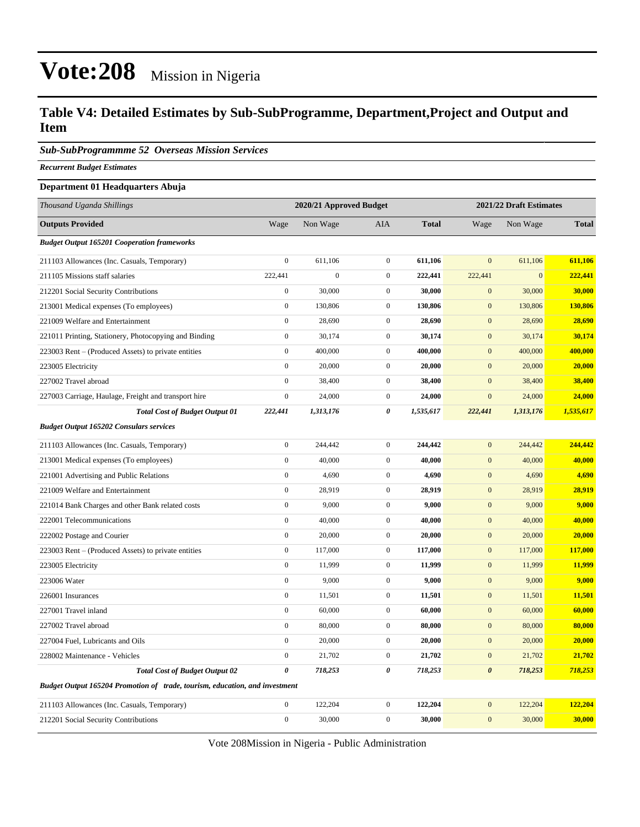#### **Table V4: Detailed Estimates by Sub-SubProgramme, Department,Project and Output and Item**

*Sub-SubProgrammme 52 Overseas Mission Services*

*Recurrent Budget Estimates*

#### **Department 01 Headquarters Abuja**

| Thousand Uganda Shillings                                                   | 2020/21 Approved Budget |                  |                  |              | 2021/22 Draft Estimates |              |              |
|-----------------------------------------------------------------------------|-------------------------|------------------|------------------|--------------|-------------------------|--------------|--------------|
| <b>Outputs Provided</b>                                                     | Wage                    | Non Wage         | AIA              | <b>Total</b> | Wage                    | Non Wage     | <b>Total</b> |
| <b>Budget Output 165201 Cooperation frameworks</b>                          |                         |                  |                  |              |                         |              |              |
| 211103 Allowances (Inc. Casuals, Temporary)                                 | $\boldsymbol{0}$        | 611,106          | $\boldsymbol{0}$ | 611,106      | $\mathbf{0}$            | 611,106      | 611,106      |
| 211105 Missions staff salaries                                              | 222,441                 | $\boldsymbol{0}$ | $\boldsymbol{0}$ | 222,441      | 222,441                 | $\mathbf{0}$ | 222,441      |
| 212201 Social Security Contributions                                        | $\mathbf{0}$            | 30,000           | $\boldsymbol{0}$ | 30,000       | $\mathbf{0}$            | 30,000       | 30,000       |
| 213001 Medical expenses (To employees)                                      | $\boldsymbol{0}$        | 130,806          | $\overline{0}$   | 130,806      | $\mathbf{0}$            | 130,806      | 130,806      |
| 221009 Welfare and Entertainment                                            | $\boldsymbol{0}$        | 28,690           | $\boldsymbol{0}$ | 28,690       | $\mathbf{0}$            | 28,690       | 28,690       |
| 221011 Printing, Stationery, Photocopying and Binding                       | $\boldsymbol{0}$        | 30,174           | $\boldsymbol{0}$ | 30,174       | $\mathbf{0}$            | 30,174       | 30,174       |
| 223003 Rent – (Produced Assets) to private entities                         | $\boldsymbol{0}$        | 400,000          | $\boldsymbol{0}$ | 400,000      | $\boldsymbol{0}$        | 400,000      | 400,000      |
| 223005 Electricity                                                          | $\boldsymbol{0}$        | 20,000           | $\overline{0}$   | 20,000       | $\mathbf{0}$            | 20,000       | 20,000       |
| 227002 Travel abroad                                                        | $\boldsymbol{0}$        | 38,400           | $\overline{0}$   | 38,400       | $\boldsymbol{0}$        | 38,400       | 38,400       |
| 227003 Carriage, Haulage, Freight and transport hire                        | $\boldsymbol{0}$        | 24,000           | $\boldsymbol{0}$ | 24,000       | $\boldsymbol{0}$        | 24,000       | 24,000       |
| <b>Total Cost of Budget Output 01</b>                                       | 222,441                 | 1,313,176        | 0                | 1,535,617    | 222,441                 | 1,313,176    | 1,535,617    |
| <b>Budget Output 165202 Consulars services</b>                              |                         |                  |                  |              |                         |              |              |
| 211103 Allowances (Inc. Casuals, Temporary)                                 | $\mathbf{0}$            | 244,442          | $\boldsymbol{0}$ | 244,442      | $\overline{0}$          | 244,442      | 244,442      |
| 213001 Medical expenses (To employees)                                      | $\boldsymbol{0}$        | 40,000           | $\boldsymbol{0}$ | 40,000       | $\mathbf{0}$            | 40,000       | 40,000       |
| 221001 Advertising and Public Relations                                     | $\boldsymbol{0}$        | 4,690            | $\boldsymbol{0}$ | 4,690        | $\mathbf{0}$            | 4,690        | 4,690        |
| 221009 Welfare and Entertainment                                            | $\boldsymbol{0}$        | 28,919           | $\boldsymbol{0}$ | 28,919       | $\mathbf{0}$            | 28,919       | 28,919       |
| 221014 Bank Charges and other Bank related costs                            | $\boldsymbol{0}$        | 9,000            | $\overline{0}$   | 9,000        | $\mathbf{0}$            | 9,000        | 9,000        |
| 222001 Telecommunications                                                   | $\boldsymbol{0}$        | 40,000           | $\boldsymbol{0}$ | 40,000       | $\mathbf{0}$            | 40,000       | 40,000       |
| 222002 Postage and Courier                                                  | $\boldsymbol{0}$        | 20,000           | $\overline{0}$   | 20,000       | $\mathbf{0}$            | 20,000       | 20,000       |
| 223003 Rent – (Produced Assets) to private entities                         | $\boldsymbol{0}$        | 117,000          | $\boldsymbol{0}$ | 117,000      | $\mathbf{0}$            | 117,000      | 117,000      |
| 223005 Electricity                                                          | $\boldsymbol{0}$        | 11,999           | $\overline{0}$   | 11,999       | $\mathbf{0}$            | 11,999       | 11,999       |
| 223006 Water                                                                | $\boldsymbol{0}$        | 9,000            | $\overline{0}$   | 9,000        | $\boldsymbol{0}$        | 9,000        | 9,000        |
| 226001 Insurances                                                           | $\boldsymbol{0}$        | 11,501           | $\boldsymbol{0}$ | 11,501       | $\mathbf{0}$            | 11,501       | 11,501       |
| 227001 Travel inland                                                        | $\boldsymbol{0}$        | 60,000           | $\boldsymbol{0}$ | 60,000       | $\mathbf{0}$            | 60,000       | 60,000       |
| 227002 Travel abroad                                                        | $\boldsymbol{0}$        | 80,000           | $\boldsymbol{0}$ | 80,000       | $\mathbf{0}$            | 80,000       | 80,000       |
| 227004 Fuel, Lubricants and Oils                                            | $\boldsymbol{0}$        | 20,000           | $\overline{0}$   | 20,000       | $\mathbf{0}$            | 20,000       | 20,000       |
| 228002 Maintenance - Vehicles                                               | $\boldsymbol{0}$        | 21,702           | $\overline{0}$   | 21,702       | $\boldsymbol{0}$        | 21,702       | 21,702       |
| <b>Total Cost of Budget Output 02</b>                                       | $\boldsymbol{\theta}$   | 718,253          | $\theta$         | 718,253      | $\boldsymbol{\theta}$   | 718,253      | 718,253      |
| Budget Output 165204 Promotion of trade, tourism, education, and investment |                         |                  |                  |              |                         |              |              |
| 211103 Allowances (Inc. Casuals, Temporary)                                 | $\boldsymbol{0}$        | 122,204          | $\mathbf{0}$     | 122,204      | $\mathbf{0}$            | 122,204      | 122,204      |
| 212201 Social Security Contributions                                        | $\mathbf{0}$            | 30,000           | $\overline{0}$   | 30,000       | $\mathbf{0}$            | 30,000       | 30,000       |

Vote 208Mission in Nigeria - Public Administration